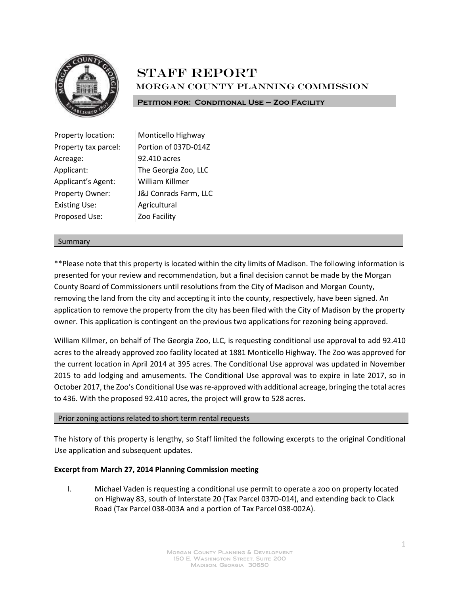

# **STAFF REPORT** Morgan County Planning Commission

**Petition for: Conditional Use – Zoo Facility**

| Property location:   | Monticello Highway    |
|----------------------|-----------------------|
| Property tax parcel: | Portion of 037D-014Z  |
| Acreage:             | 92.410 acres          |
| Applicant:           | The Georgia Zoo, LLC  |
| Applicant's Agent:   | William Killmer       |
| Property Owner:      | J&J Conrads Farm, LLC |
| <b>Existing Use:</b> | Agricultural          |
| Proposed Use:        | Zoo Facility          |

#### Summary

\*\*Please note that this property is located within the city limits of Madison. The following information is presented for your review and recommendation, but a final decision cannot be made by the Morgan County Board of Commissioners until resolutions from the City of Madison and Morgan County, removing the land from the city and accepting it into the county, respectively, have been signed. An application to remove the property from the city has been filed with the City of Madison by the property owner. This application is contingent on the previous two applications for rezoning being approved.

William Killmer, on behalf of The Georgia Zoo, LLC, is requesting conditional use approval to add 92.410 acres to the already approved zoo facility located at 1881 Monticello Highway. The Zoo was approved for the current location in April 2014 at 395 acres. The Conditional Use approval was updated in November 2015 to add lodging and amusements. The Conditional Use approval was to expire in late 2017, so in October 2017, the Zoo's Conditional Use was re-approved with additional acreage, bringing the total acres to 436. With the proposed 92.410 acres, the project will grow to 528 acres.

## Prior zoning actions related to short term rental requests

The history of this property is lengthy, so Staff limited the following excerpts to the original Conditional Use application and subsequent updates.

## **Excerpt from March 27, 2014 Planning Commission meeting**

I. Michael Vaden is requesting a conditional use permit to operate a zoo on property located on Highway 83, south of Interstate 20 (Tax Parcel 037D-014), and extending back to Clack Road (Tax Parcel 038-003A and a portion of Tax Parcel 038-002A).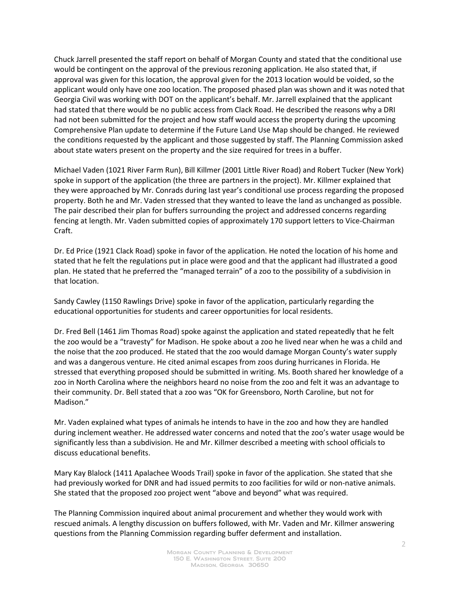Chuck Jarrell presented the staff report on behalf of Morgan County and stated that the conditional use would be contingent on the approval of the previous rezoning application. He also stated that, if approval was given for this location, the approval given for the 2013 location would be voided, so the applicant would only have one zoo location. The proposed phased plan was shown and it was noted that Georgia Civil was working with DOT on the applicant's behalf. Mr. Jarrell explained that the applicant had stated that there would be no public access from Clack Road. He described the reasons why a DRI had not been submitted for the project and how staff would access the property during the upcoming Comprehensive Plan update to determine if the Future Land Use Map should be changed. He reviewed the conditions requested by the applicant and those suggested by staff. The Planning Commission asked about state waters present on the property and the size required for trees in a buffer.

Michael Vaden (1021 River Farm Run), Bill Killmer (2001 Little River Road) and Robert Tucker (New York) spoke in support of the application (the three are partners in the project). Mr. Killmer explained that they were approached by Mr. Conrads during last year's conditional use process regarding the proposed property. Both he and Mr. Vaden stressed that they wanted to leave the land as unchanged as possible. The pair described their plan for buffers surrounding the project and addressed concerns regarding fencing at length. Mr. Vaden submitted copies of approximately 170 support letters to Vice-Chairman Craft.

Dr. Ed Price (1921 Clack Road) spoke in favor of the application. He noted the location of his home and stated that he felt the regulations put in place were good and that the applicant had illustrated a good plan. He stated that he preferred the "managed terrain" of a zoo to the possibility of a subdivision in that location.

Sandy Cawley (1150 Rawlings Drive) spoke in favor of the application, particularly regarding the educational opportunities for students and career opportunities for local residents.

Dr. Fred Bell (1461 Jim Thomas Road) spoke against the application and stated repeatedly that he felt the zoo would be a "travesty" for Madison. He spoke about a zoo he lived near when he was a child and the noise that the zoo produced. He stated that the zoo would damage Morgan County's water supply and was a dangerous venture. He cited animal escapes from zoos during hurricanes in Florida. He stressed that everything proposed should be submitted in writing. Ms. Booth shared her knowledge of a zoo in North Carolina where the neighbors heard no noise from the zoo and felt it was an advantage to their community. Dr. Bell stated that a zoo was "OK for Greensboro, North Caroline, but not for Madison."

Mr. Vaden explained what types of animals he intends to have in the zoo and how they are handled during inclement weather. He addressed water concerns and noted that the zoo's water usage would be significantly less than a subdivision. He and Mr. Killmer described a meeting with school officials to discuss educational benefits.

Mary Kay Blalock (1411 Apalachee Woods Trail) spoke in favor of the application. She stated that she had previously worked for DNR and had issued permits to zoo facilities for wild or non-native animals. She stated that the proposed zoo project went "above and beyond" what was required.

The Planning Commission inquired about animal procurement and whether they would work with rescued animals. A lengthy discussion on buffers followed, with Mr. Vaden and Mr. Killmer answering questions from the Planning Commission regarding buffer deferment and installation.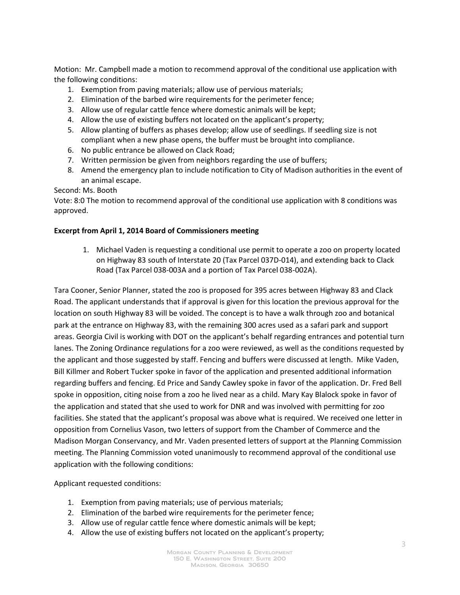Motion: Mr. Campbell made a motion to recommend approval of the conditional use application with the following conditions:

- 1. Exemption from paving materials; allow use of pervious materials;
- 2. Elimination of the barbed wire requirements for the perimeter fence;
- 3. Allow use of regular cattle fence where domestic animals will be kept;
- 4. Allow the use of existing buffers not located on the applicant's property;
- 5. Allow planting of buffers as phases develop; allow use of seedlings. If seedling size is not compliant when a new phase opens, the buffer must be brought into compliance.
- 6. No public entrance be allowed on Clack Road;
- 7. Written permission be given from neighbors regarding the use of buffers;
- 8. Amend the emergency plan to include notification to City of Madison authorities in the event of an animal escape.

Second: Ms. Booth

Vote: 8:0 The motion to recommend approval of the conditional use application with 8 conditions was approved.

## **Excerpt from April 1, 2014 Board of Commissioners meeting**

1. Michael Vaden is requesting a conditional use permit to operate a zoo on property located on Highway 83 south of Interstate 20 (Tax Parcel 037D-014), and extending back to Clack Road (Tax Parcel 038-003A and a portion of Tax Parcel 038-002A).

Tara Cooner, Senior Planner, stated the zoo is proposed for 395 acres between Highway 83 and Clack Road. The applicant understands that if approval is given for this location the previous approval for the location on south Highway 83 will be voided. The concept is to have a walk through zoo and botanical park at the entrance on Highway 83, with the remaining 300 acres used as a safari park and support areas. Georgia Civil is working with DOT on the applicant's behalf regarding entrances and potential turn lanes. The Zoning Ordinance regulations for a zoo were reviewed, as well as the conditions requested by the applicant and those suggested by staff. Fencing and buffers were discussed at length. Mike Vaden, Bill Killmer and Robert Tucker spoke in favor of the application and presented additional information regarding buffers and fencing. Ed Price and Sandy Cawley spoke in favor of the application. Dr. Fred Bell spoke in opposition, citing noise from a zoo he lived near as a child. Mary Kay Blalock spoke in favor of the application and stated that she used to work for DNR and was involved with permitting for zoo facilities. She stated that the applicant's proposal was above what is required. We received one letter in opposition from Cornelius Vason, two letters of support from the Chamber of Commerce and the Madison Morgan Conservancy, and Mr. Vaden presented letters of support at the Planning Commission meeting. The Planning Commission voted unanimously to recommend approval of the conditional use application with the following conditions:

Applicant requested conditions:

- 1. Exemption from paving materials; use of pervious materials;
- 2. Elimination of the barbed wire requirements for the perimeter fence;
- 3. Allow use of regular cattle fence where domestic animals will be kept;
- 4. Allow the use of existing buffers not located on the applicant's property;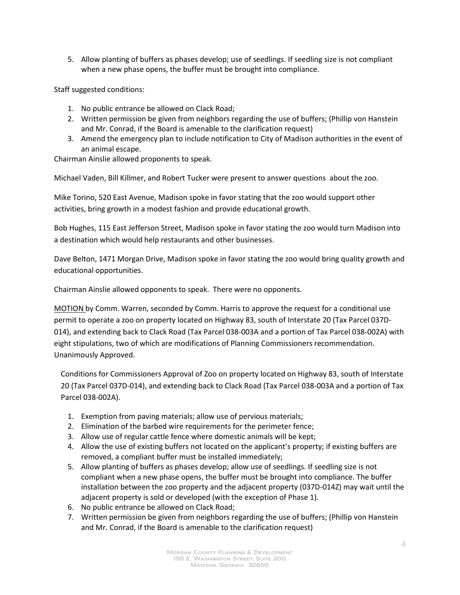5. Allow planting of buffers as phases develop; use of seedlings. If seedling size is not compliant when a new phase opens, the buffer must be brought into compliance.

Staff suggested conditions:

- 1. No public entrance be allowed on Clack Road;
- 2. Written permission be given from neighbors regarding the use of buffers; (Phillip von Hanstein and Mr. Conrad, if the Board is amenable to the clarification request)
- 3. Amend the emergency plan to include notification to City of Madison authorities in the event of an animal escape.

Chairman Ainslie allowed proponents to speak.

Michael Vaden, Bill Killmer, and Robert Tucker were present to answer questions about the zoo.

Mike Torino, 520 East Avenue, Madison spoke in favor stating that the zoo would support other activities, bring growth in a modest fashion and provide educational growth.

Bob Hughes, 115 East Jefferson Street, Madison spoke in favor stating the zoo would turn Madison into a destination which would help restaurants and other businesses.

Dave Belton, 1471 Morgan Drive, Madison spoke in favor stating the zoo would bring quality growth and educational opportunities.

Chairman Ainslie allowed opponents to speak. There were no opponents.

MOTION by Comm. Warren, seconded by Comm. Harris to approve the request for a conditional use permit to operate a zoo on property located on Highway 83, south of Interstate 20 (Tax Parcel 037D-014), and extending back to Clack Road (Tax Parcel 038-003A and a portion of Tax Parcel 038-002A) with eight stipulations, two of which are modifications of Planning Commissioners recommendation. Unanimously Approved.

Conditions for Commissioners Approval of Zoo on property located on Highway 83, south of Interstate 20 (Tax Parcel 037D-014), and extending back to Clack Road (Tax Parcel 038-003A and a portion of Tax Parcel 038-002A).

- 1. Exemption from paving materials; allow use of pervious materials;
- 2. Elimination of the barbed wire requirements for the perimeter fence;
- 3. Allow use of regular cattle fence where domestic animals will be kept;
- 4. Allow the use of existing buffers not located on the applicant's property; if existing buffers are removed, a compliant buffer must be installed immediately;
- 5. Allow planting of buffers as phases develop; allow use of seedlings. If seedling size is not compliant when a new phase opens, the buffer must be brought into compliance. The buffer installation between the zoo property and the adjacent property (037D-014Z) may wait until the adjacent property is sold or developed (with the exception of Phase 1).
- 6. No public entrance be allowed on Clack Road;
- 7. Written permission be given from neighbors regarding the use of buffers; (Phillip von Hanstein and Mr. Conrad, if the Board is amenable to the clarification request)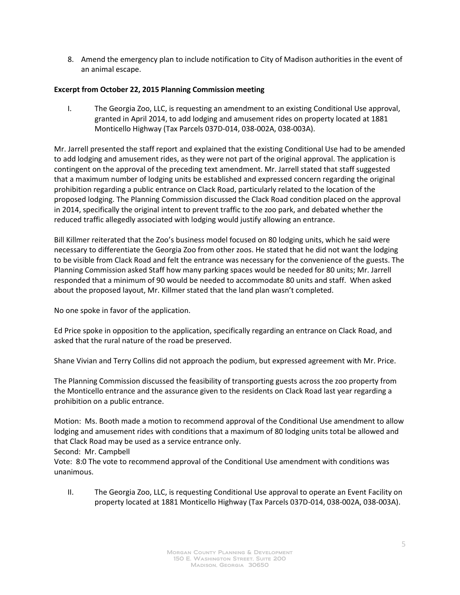8. Amend the emergency plan to include notification to City of Madison authorities in the event of an animal escape.

# **Excerpt from October 22, 2015 Planning Commission meeting**

I. The Georgia Zoo, LLC, is requesting an amendment to an existing Conditional Use approval, granted in April 2014, to add lodging and amusement rides on property located at 1881 Monticello Highway (Tax Parcels 037D-014, 038-002A, 038-003A).

Mr. Jarrell presented the staff report and explained that the existing Conditional Use had to be amended to add lodging and amusement rides, as they were not part of the original approval. The application is contingent on the approval of the preceding text amendment. Mr. Jarrell stated that staff suggested that a maximum number of lodging units be established and expressed concern regarding the original prohibition regarding a public entrance on Clack Road, particularly related to the location of the proposed lodging. The Planning Commission discussed the Clack Road condition placed on the approval in 2014, specifically the original intent to prevent traffic to the zoo park, and debated whether the reduced traffic allegedly associated with lodging would justify allowing an entrance.

Bill Killmer reiterated that the Zoo's business model focused on 80 lodging units, which he said were necessary to differentiate the Georgia Zoo from other zoos. He stated that he did not want the lodging to be visible from Clack Road and felt the entrance was necessary for the convenience of the guests. The Planning Commission asked Staff how many parking spaces would be needed for 80 units; Mr. Jarrell responded that a minimum of 90 would be needed to accommodate 80 units and staff. When asked about the proposed layout, Mr. Killmer stated that the land plan wasn't completed.

No one spoke in favor of the application.

Ed Price spoke in opposition to the application, specifically regarding an entrance on Clack Road, and asked that the rural nature of the road be preserved.

Shane Vivian and Terry Collins did not approach the podium, but expressed agreement with Mr. Price.

The Planning Commission discussed the feasibility of transporting guests across the zoo property from the Monticello entrance and the assurance given to the residents on Clack Road last year regarding a prohibition on a public entrance.

Motion: Ms. Booth made a motion to recommend approval of the Conditional Use amendment to allow lodging and amusement rides with conditions that a maximum of 80 lodging units total be allowed and that Clack Road may be used as a service entrance only.

Second: Mr. Campbell

Vote: 8:0 The vote to recommend approval of the Conditional Use amendment with conditions was unanimous.

II. The Georgia Zoo, LLC, is requesting Conditional Use approval to operate an Event Facility on property located at 1881 Monticello Highway (Tax Parcels 037D-014, 038-002A, 038-003A).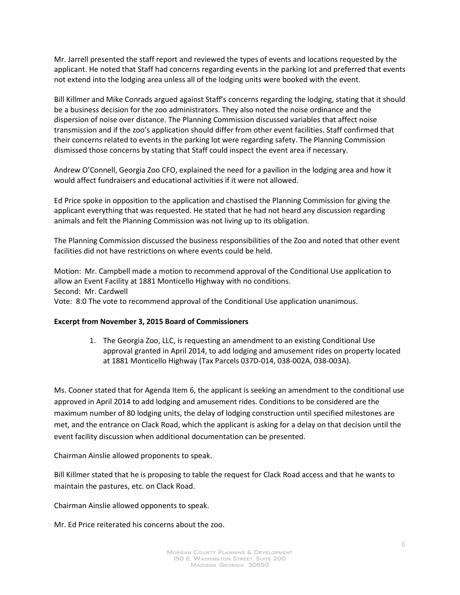Mr. Jarrell presented the staff report and reviewed the types of events and locations requested by the applicant. He noted that Staff had concerns regarding events in the parking lot and preferred that events not extend into the lodging area unless all of the lodging units were booked with the event.

Bill Killmer and Mike Conrads argued against Staff's concerns regarding the lodging, stating that it should be a business decision for the zoo administrators. They also noted the noise ordinance and the dispersion of noise over distance. The Planning Commission discussed variables that affect noise transmission and if the zoo's application should differ from other event facilities. Staff confirmed that their concerns related to events in the parking lot were regarding safety. The Planning Commission dismissed those concerns by stating that Staff could inspect the event area if necessary.

Andrew O'Connell, Georgia Zoo CFO, explained the need for a pavilion in the lodging area and how it would affect fundraisers and educational activities if it were not allowed.

Ed Price spoke in opposition to the application and chastised the Planning Commission for giving the applicant everything that was requested. He stated that he had not heard any discussion regarding animals and felt the Planning Commission was not living up to its obligation.

The Planning Commission discussed the business responsibilities of the Zoo and noted that other event facilities did not have restrictions on where events could be held.

Motion: Mr. Campbell made a motion to recommend approval of the Conditional Use application to allow an Event Facility at 1881 Monticello Highway with no conditions. Second: Mr. Cardwell Vote: 8:0 The vote to recommend approval of the Conditional Use application unanimous.

# **Excerpt from November 3, 2015 Board of Commissioners**

1. The Georgia Zoo, LLC, is requesting an amendment to an existing Conditional Use approval granted in April 2014, to add lodging and amusement rides on property located at 1881 Monticello Highway (Tax Parcels 037D-014, 038-002A, 038-003A).

Ms. Cooner stated that for Agenda Item 6, the applicant is seeking an amendment to the conditional use approved in April 2014 to add lodging and amusement rides. Conditions to be considered are the maximum number of 80 lodging units, the delay of lodging construction until specified milestones are met, and the entrance on Clack Road, which the applicant is asking for a delay on that decision until the event facility discussion when additional documentation can be presented.

Chairman Ainslie allowed proponents to speak.

Bill Killmer stated that he is proposing to table the request for Clack Road access and that he wants to maintain the pastures, etc. on Clack Road.

Chairman Ainslie allowed opponents to speak.

Mr. Ed Price reiterated his concerns about the zoo.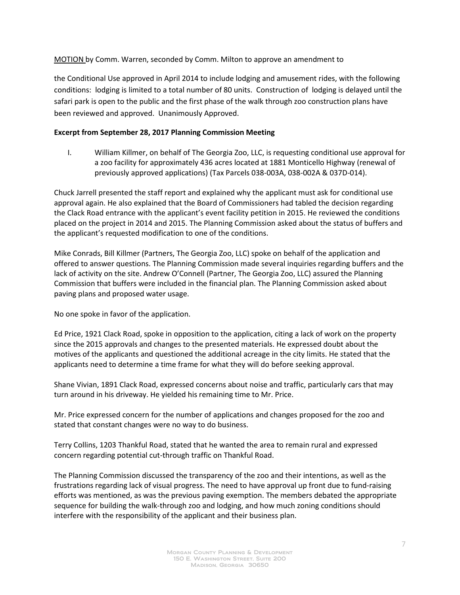MOTION by Comm. Warren, seconded by Comm. Milton to approve an amendment to

the Conditional Use approved in April 2014 to include lodging and amusement rides, with the following conditions: lodging is limited to a total number of 80 units. Construction of lodging is delayed until the safari park is open to the public and the first phase of the walk through zoo construction plans have been reviewed and approved. Unanimously Approved.

# **Excerpt from September 28, 2017 Planning Commission Meeting**

I. William Killmer, on behalf of The Georgia Zoo, LLC, is requesting conditional use approval for a zoo facility for approximately 436 acres located at 1881 Monticello Highway (renewal of previously approved applications) (Tax Parcels 038-003A, 038-002A & 037D-014).

Chuck Jarrell presented the staff report and explained why the applicant must ask for conditional use approval again. He also explained that the Board of Commissioners had tabled the decision regarding the Clack Road entrance with the applicant's event facility petition in 2015. He reviewed the conditions placed on the project in 2014 and 2015. The Planning Commission asked about the status of buffers and the applicant's requested modification to one of the conditions.

Mike Conrads, Bill Killmer (Partners, The Georgia Zoo, LLC) spoke on behalf of the application and offered to answer questions. The Planning Commission made several inquiries regarding buffers and the lack of activity on the site. Andrew O'Connell (Partner, The Georgia Zoo, LLC) assured the Planning Commission that buffers were included in the financial plan. The Planning Commission asked about paving plans and proposed water usage.

No one spoke in favor of the application.

Ed Price, 1921 Clack Road, spoke in opposition to the application, citing a lack of work on the property since the 2015 approvals and changes to the presented materials. He expressed doubt about the motives of the applicants and questioned the additional acreage in the city limits. He stated that the applicants need to determine a time frame for what they will do before seeking approval.

Shane Vivian, 1891 Clack Road, expressed concerns about noise and traffic, particularly cars that may turn around in his driveway. He yielded his remaining time to Mr. Price.

Mr. Price expressed concern for the number of applications and changes proposed for the zoo and stated that constant changes were no way to do business.

Terry Collins, 1203 Thankful Road, stated that he wanted the area to remain rural and expressed concern regarding potential cut-through traffic on Thankful Road.

The Planning Commission discussed the transparency of the zoo and their intentions, as well as the frustrations regarding lack of visual progress. The need to have approval up front due to fund-raising efforts was mentioned, as was the previous paving exemption. The members debated the appropriate sequence for building the walk-through zoo and lodging, and how much zoning conditions should interfere with the responsibility of the applicant and their business plan.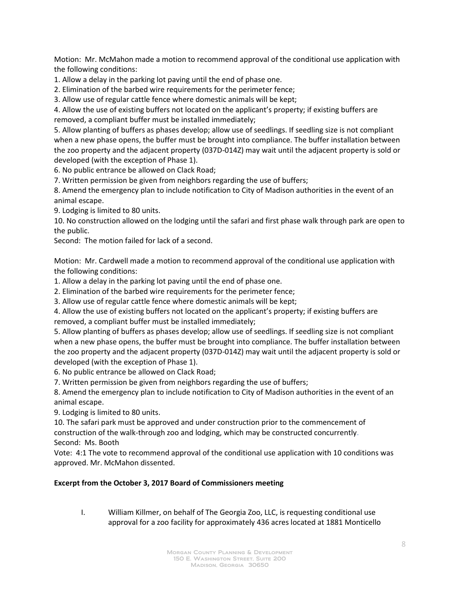Motion: Mr. McMahon made a motion to recommend approval of the conditional use application with the following conditions:

1. Allow a delay in the parking lot paving until the end of phase one.

2. Elimination of the barbed wire requirements for the perimeter fence;

3. Allow use of regular cattle fence where domestic animals will be kept;

4. Allow the use of existing buffers not located on the applicant's property; if existing buffers are removed, a compliant buffer must be installed immediately;

5. Allow planting of buffers as phases develop; allow use of seedlings. If seedling size is not compliant when a new phase opens, the buffer must be brought into compliance. The buffer installation between the zoo property and the adjacent property (037D-014Z) may wait until the adjacent property is sold or developed (with the exception of Phase 1).

6. No public entrance be allowed on Clack Road;

7. Written permission be given from neighbors regarding the use of buffers;

8. Amend the emergency plan to include notification to City of Madison authorities in the event of an animal escape.

9. Lodging is limited to 80 units.

10. No construction allowed on the lodging until the safari and first phase walk through park are open to the public.

Second: The motion failed for lack of a second.

Motion: Mr. Cardwell made a motion to recommend approval of the conditional use application with the following conditions:

1. Allow a delay in the parking lot paving until the end of phase one.

2. Elimination of the barbed wire requirements for the perimeter fence;

3. Allow use of regular cattle fence where domestic animals will be kept;

4. Allow the use of existing buffers not located on the applicant's property; if existing buffers are removed, a compliant buffer must be installed immediately;

5. Allow planting of buffers as phases develop; allow use of seedlings. If seedling size is not compliant when a new phase opens, the buffer must be brought into compliance. The buffer installation between the zoo property and the adjacent property (037D-014Z) may wait until the adjacent property is sold or developed (with the exception of Phase 1).

6. No public entrance be allowed on Clack Road;

7. Written permission be given from neighbors regarding the use of buffers;

8. Amend the emergency plan to include notification to City of Madison authorities in the event of an animal escape.

9. Lodging is limited to 80 units.

10. The safari park must be approved and under construction prior to the commencement of construction of the walk-through zoo and lodging, which may be constructed concurrently. Second: Ms. Booth

Vote: 4:1 The vote to recommend approval of the conditional use application with 10 conditions was approved. Mr. McMahon dissented.

## **Excerpt from the October 3, 2017 Board of Commissioners meeting**

I. William Killmer, on behalf of The Georgia Zoo, LLC, is requesting conditional use approval for a zoo facility for approximately 436 acres located at 1881 Monticello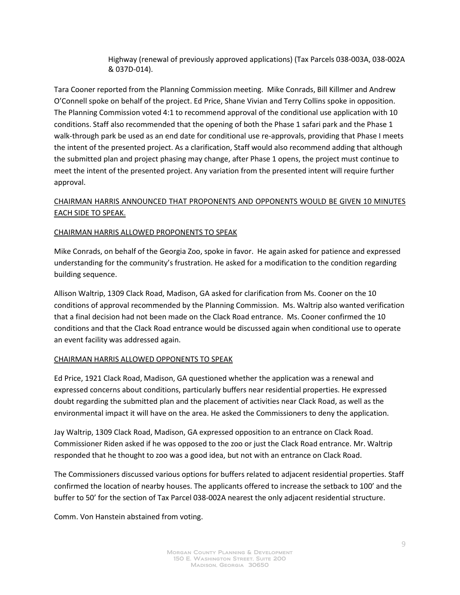Highway (renewal of previously approved applications) (Tax Parcels 038-003A, 038-002A & 037D-014).

Tara Cooner reported from the Planning Commission meeting. Mike Conrads, Bill Killmer and Andrew O'Connell spoke on behalf of the project. Ed Price, Shane Vivian and Terry Collins spoke in opposition. The Planning Commission voted 4:1 to recommend approval of the conditional use application with 10 conditions. Staff also recommended that the opening of both the Phase 1 safari park and the Phase 1 walk-through park be used as an end date for conditional use re-approvals, providing that Phase I meets the intent of the presented project. As a clarification, Staff would also recommend adding that although the submitted plan and project phasing may change, after Phase 1 opens, the project must continue to meet the intent of the presented project. Any variation from the presented intent will require further approval.

# CHAIRMAN HARRIS ANNOUNCED THAT PROPONENTS AND OPPONENTS WOULD BE GIVEN 10 MINUTES EACH SIDE TO SPEAK.

# CHAIRMAN HARRIS ALLOWED PROPONENTS TO SPEAK

Mike Conrads, on behalf of the Georgia Zoo, spoke in favor. He again asked for patience and expressed understanding for the community's frustration. He asked for a modification to the condition regarding building sequence.

Allison Waltrip, 1309 Clack Road, Madison, GA asked for clarification from Ms. Cooner on the 10 conditions of approval recommended by the Planning Commission. Ms. Waltrip also wanted verification that a final decision had not been made on the Clack Road entrance. Ms. Cooner confirmed the 10 conditions and that the Clack Road entrance would be discussed again when conditional use to operate an event facility was addressed again.

## CHAIRMAN HARRIS ALLOWED OPPONENTS TO SPEAK

Ed Price, 1921 Clack Road, Madison, GA questioned whether the application was a renewal and expressed concerns about conditions, particularly buffers near residential properties. He expressed doubt regarding the submitted plan and the placement of activities near Clack Road, as well as the environmental impact it will have on the area. He asked the Commissioners to deny the application.

Jay Waltrip, 1309 Clack Road, Madison, GA expressed opposition to an entrance on Clack Road. Commissioner Riden asked if he was opposed to the zoo or just the Clack Road entrance. Mr. Waltrip responded that he thought to zoo was a good idea, but not with an entrance on Clack Road.

The Commissioners discussed various options for buffers related to adjacent residential properties. Staff confirmed the location of nearby houses. The applicants offered to increase the setback to 100' and the buffer to 50' for the section of Tax Parcel 038-002A nearest the only adjacent residential structure.

Comm. Von Hanstein abstained from voting.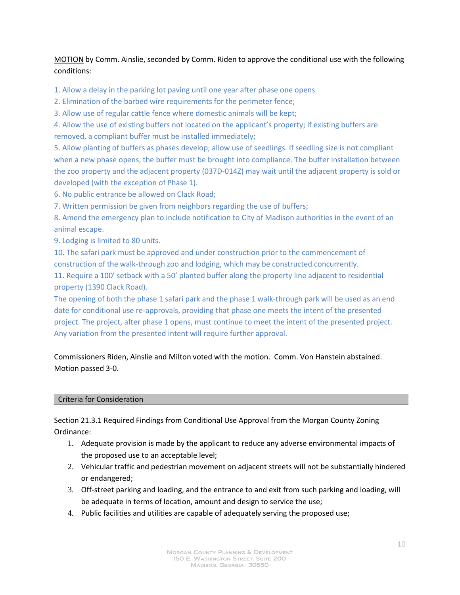MOTION by Comm. Ainslie, seconded by Comm. Riden to approve the conditional use with the following conditions:

1. Allow a delay in the parking lot paving until one year after phase one opens

2. Elimination of the barbed wire requirements for the perimeter fence;

3. Allow use of regular cattle fence where domestic animals will be kept;

4. Allow the use of existing buffers not located on the applicant's property; if existing buffers are removed, a compliant buffer must be installed immediately;

5. Allow planting of buffers as phases develop; allow use of seedlings. If seedling size is not compliant when a new phase opens, the buffer must be brought into compliance. The buffer installation between the zoo property and the adjacent property (037D-014Z) may wait until the adjacent property is sold or developed (with the exception of Phase 1).

6. No public entrance be allowed on Clack Road;

7. Written permission be given from neighbors regarding the use of buffers;

8. Amend the emergency plan to include notification to City of Madison authorities in the event of an animal escape.

9. Lodging is limited to 80 units.

10. The safari park must be approved and under construction prior to the commencement of construction of the walk-through zoo and lodging, which may be constructed concurrently.

11. Require a 100' setback with a 50' planted buffer along the property line adjacent to residential property (1390 Clack Road).

The opening of both the phase 1 safari park and the phase 1 walk-through park will be used as an end date for conditional use re-approvals, providing that phase one meets the intent of the presented project. The project, after phase 1 opens, must continue to meet the intent of the presented project. Any variation from the presented intent will require further approval.

Commissioners Riden, Ainslie and Milton voted with the motion. Comm. Von Hanstein abstained. Motion passed 3-0.

## Criteria for Consideration

Section 21.3.1 Required Findings from Conditional Use Approval from the Morgan County Zoning Ordinance:

- 1. Adequate provision is made by the applicant to reduce any adverse environmental impacts of the proposed use to an acceptable level;
- 2. Vehicular traffic and pedestrian movement on adjacent streets will not be substantially hindered or endangered;
- 3. Off-street parking and loading, and the entrance to and exit from such parking and loading, will be adequate in terms of location, amount and design to service the use;
- 4. Public facilities and utilities are capable of adequately serving the proposed use;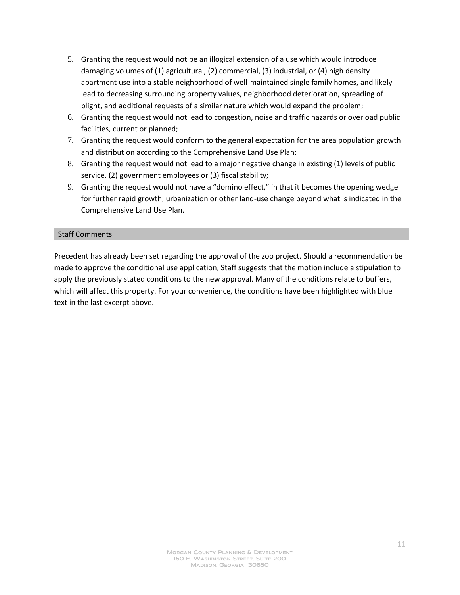- 5. Granting the request would not be an illogical extension of a use which would introduce damaging volumes of (1) agricultural, (2) commercial, (3) industrial, or (4) high density apartment use into a stable neighborhood of well-maintained single family homes, and likely lead to decreasing surrounding property values, neighborhood deterioration, spreading of blight, and additional requests of a similar nature which would expand the problem;
- 6. Granting the request would not lead to congestion, noise and traffic hazards or overload public facilities, current or planned;
- 7. Granting the request would conform to the general expectation for the area population growth and distribution according to the Comprehensive Land Use Plan;
- 8. Granting the request would not lead to a major negative change in existing (1) levels of public service, (2) government employees or (3) fiscal stability;
- 9. Granting the request would not have a "domino effect," in that it becomes the opening wedge for further rapid growth, urbanization or other land-use change beyond what is indicated in the Comprehensive Land Use Plan.

# Staff Comments

Precedent has already been set regarding the approval of the zoo project. Should a recommendation be made to approve the conditional use application, Staff suggests that the motion include a stipulation to apply the previously stated conditions to the new approval. Many of the conditions relate to buffers, which will affect this property. For your convenience, the conditions have been highlighted with blue text in the last excerpt above.